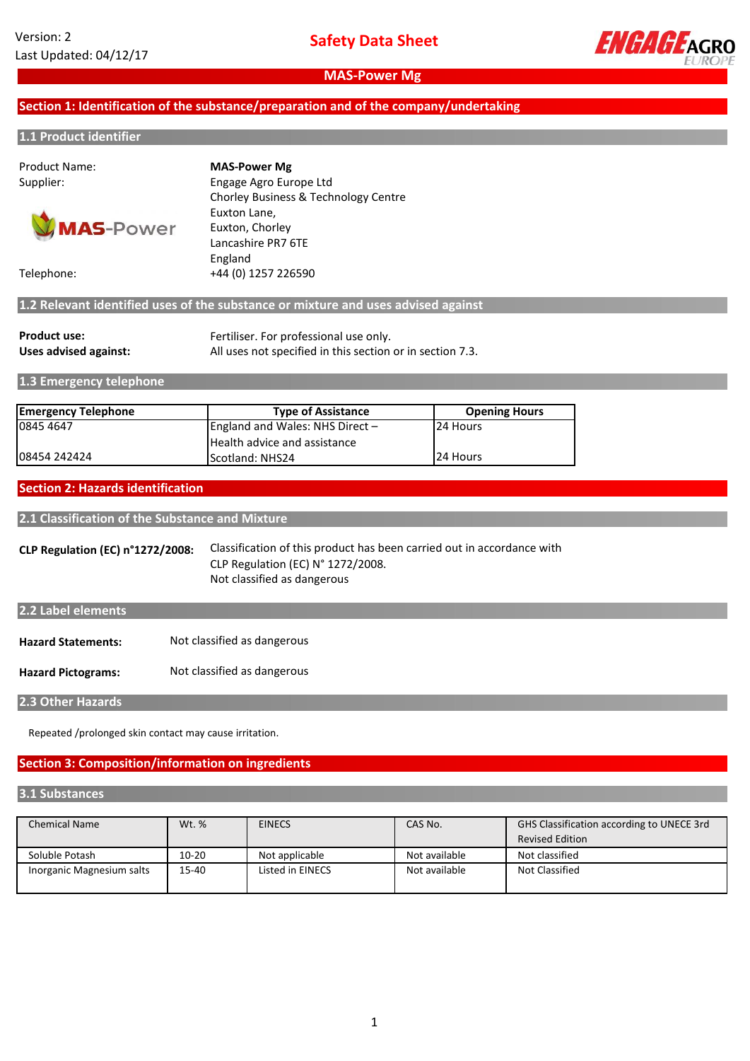

# **Section 1: Identification of the substance/preparation and of the company/undertaking**

#### **1.1 Product identifier**

Product Name:



Supplier: Engage Agro Europe Ltd Chorley Business & Technology Centre Euxton Lane, Euxton, Chorley Lancashire PR7 6TE England Telephone: +44 (0) 1257 226590 **MAS-Power Mg**

**1.2 Relevant identified uses of the substance or mixture and uses advised against**

| <b>Product use:</b>   | Fertiliser. For professional use only.                    |
|-----------------------|-----------------------------------------------------------|
| Uses advised against: | All uses not specified in this section or in section 7.3. |

**1.3 Emergency telephone**

| <b>Emergency Telephone</b> | <b>Type of Assistance</b>           | <b>Opening Hours</b> |
|----------------------------|-------------------------------------|----------------------|
| 0845 4647                  | England and Wales: NHS Direct $-$   | 24 Hours             |
|                            | <b>Health advice and assistance</b> |                      |
| 08454 242424               | <b>IScotland: NHS24</b>             | 24 Hours             |

#### **Section 2: Hazards identification**

**2.1 Classification of the Substance and Mixture**

**CLP Regulation (EC) n°1272/2008:** Classification of this product has been carried out in accordance with CLP Regulation (EC) N° 1272/2008. Not classified as dangerous

| 2.2 Label elements        |                             |
|---------------------------|-----------------------------|
| <b>Hazard Statements:</b> | Not classified as dangerous |
| <b>Hazard Pictograms:</b> | Not classified as dangerous |

**2.3 Other Hazards**

Repeated /prolonged skin contact may cause irritation.

# **Section 3: Composition/information on ingredients**

#### **3.1 Substances**

| <b>Chemical Name</b>      | Wt. % | <b>EINECS</b>    | CAS No.       | GHS Classification according to UNECE 3rd |  |
|---------------------------|-------|------------------|---------------|-------------------------------------------|--|
|                           |       |                  |               | <b>Revised Edition</b>                    |  |
| Soluble Potash            | 10-20 | Not applicable   | Not available | Not classified                            |  |
| Inorganic Magnesium salts | 15-40 | Listed in EINECS | Not available | Not Classified                            |  |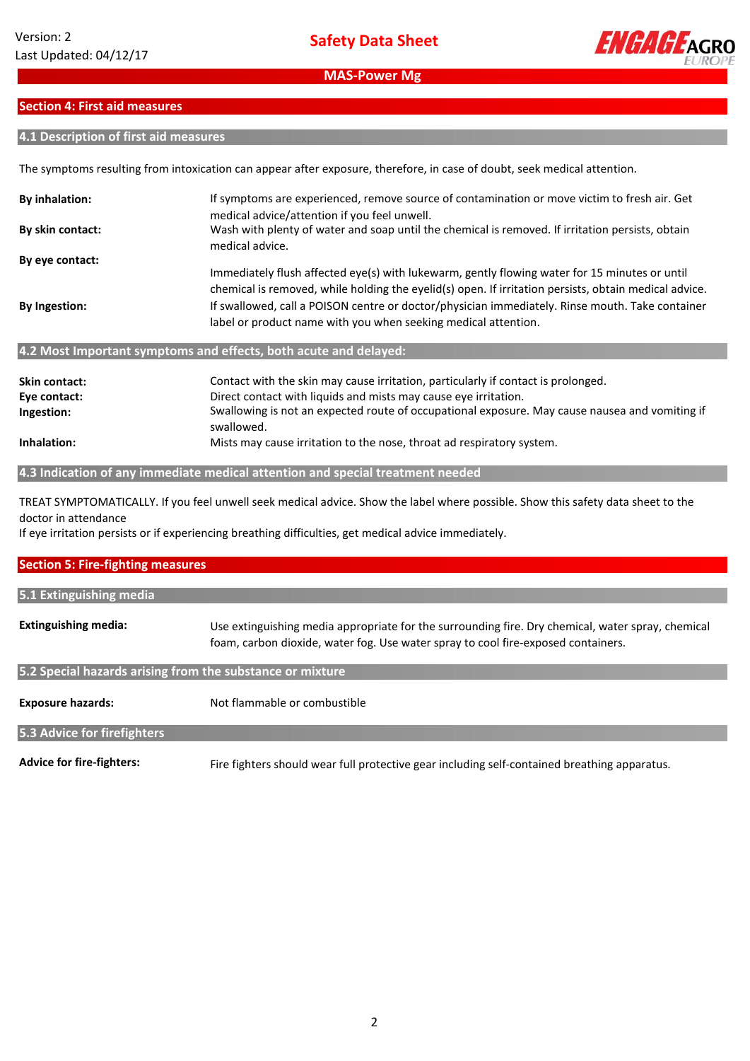

# **Section 4: First aid measures**

## **4.1 Description of first aid measures**

The symptoms resulting from intoxication can appear after exposure, therefore, in case of doubt, seek medical attention.

| <b>By inhalation:</b>                                                                                                      | If symptoms are experienced, remove source of contamination or move victim to fresh air. Get<br>medical advice/attention if you feel unwell.                                                           |  |
|----------------------------------------------------------------------------------------------------------------------------|--------------------------------------------------------------------------------------------------------------------------------------------------------------------------------------------------------|--|
| By skin contact:                                                                                                           | Wash with plenty of water and soap until the chemical is removed. If irritation persists, obtain<br>medical advice.                                                                                    |  |
| By eye contact:                                                                                                            |                                                                                                                                                                                                        |  |
|                                                                                                                            | Immediately flush affected eye(s) with lukewarm, gently flowing water for 15 minutes or until<br>chemical is removed, while holding the eyelid(s) open. If irritation persists, obtain medical advice. |  |
| By Ingestion:                                                                                                              | If swallowed, call a POISON centre or doctor/physician immediately. Rinse mouth. Take container<br>label or product name with you when seeking medical attention.                                      |  |
|                                                                                                                            | 4.2 Most Important symptoms and effects, both acute and delayed:                                                                                                                                       |  |
|                                                                                                                            |                                                                                                                                                                                                        |  |
| Skin contact:                                                                                                              | Contact with the skin may cause irritation, particularly if contact is prolonged.                                                                                                                      |  |
| Eye contact:                                                                                                               | Direct contact with liquids and mists may cause eye irritation.                                                                                                                                        |  |
| Swallowing is not an expected route of occupational exposure. May cause nausea and vomiting if<br>Ingestion:<br>swallowed. |                                                                                                                                                                                                        |  |

**Inhalation:** Mists may cause irritation to the nose, throat ad respiratory system.

**4.3 Indication of any immediate medical attention and special treatment needed**

TREAT SYMPTOMATICALLY. If you feel unwell seek medical advice. Show the label where possible. Show this safety data sheet to the doctor in attendance

If eye irritation persists or if experiencing breathing difficulties, get medical advice immediately.

| <b>Section 5: Fire-fighting measures</b>                  |                                                                                                                                                                                        |  |  |  |
|-----------------------------------------------------------|----------------------------------------------------------------------------------------------------------------------------------------------------------------------------------------|--|--|--|
| 5.1 Extinguishing media                                   |                                                                                                                                                                                        |  |  |  |
| <b>Extinguishing media:</b>                               | Use extinguishing media appropriate for the surrounding fire. Dry chemical, water spray, chemical<br>foam, carbon dioxide, water fog. Use water spray to cool fire-exposed containers. |  |  |  |
| 5.2 Special hazards arising from the substance or mixture |                                                                                                                                                                                        |  |  |  |
| <b>Exposure hazards:</b>                                  | Not flammable or combustible                                                                                                                                                           |  |  |  |
| 5.3 Advice for firefighters                               |                                                                                                                                                                                        |  |  |  |
| <b>Advice for fire-fighters:</b>                          | Fire fighters should wear full protective gear including self-contained breathing apparatus.                                                                                           |  |  |  |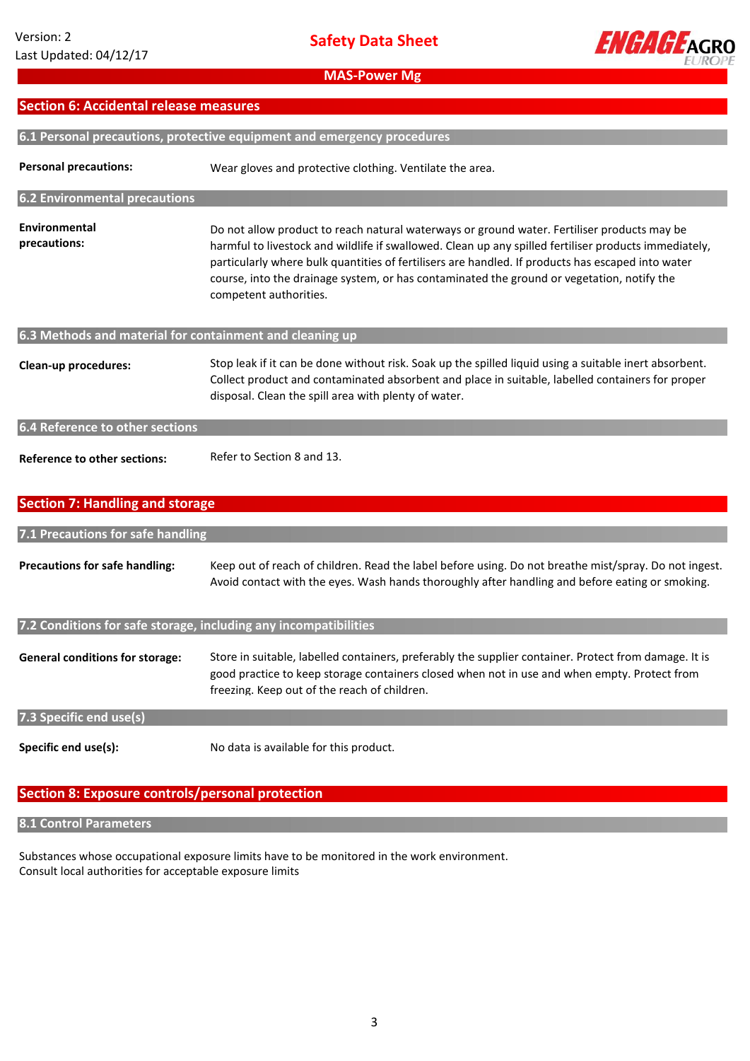

| Section 6: Accidental release measures |                                                                         |  |  |  |
|----------------------------------------|-------------------------------------------------------------------------|--|--|--|
|                                        |                                                                         |  |  |  |
|                                        | 6.1 Personal precautions, protective equipment and emergency procedures |  |  |  |

| <b>Personal precautions:</b>                             | Wear gloves and protective clothing. Ventilate the area.                                                                                                                                                                                                                                                                                                                                                                          |  |  |  |
|----------------------------------------------------------|-----------------------------------------------------------------------------------------------------------------------------------------------------------------------------------------------------------------------------------------------------------------------------------------------------------------------------------------------------------------------------------------------------------------------------------|--|--|--|
| <b>6.2 Environmental precautions</b>                     |                                                                                                                                                                                                                                                                                                                                                                                                                                   |  |  |  |
| Environmental<br>precautions:                            | Do not allow product to reach natural waterways or ground water. Fertiliser products may be<br>harmful to livestock and wildlife if swallowed. Clean up any spilled fertiliser products immediately,<br>particularly where bulk quantities of fertilisers are handled. If products has escaped into water<br>course, into the drainage system, or has contaminated the ground or vegetation, notify the<br>competent authorities. |  |  |  |
| 6.3 Methods and material for containment and cleaning up |                                                                                                                                                                                                                                                                                                                                                                                                                                   |  |  |  |
| Clean-up procedures:                                     | Stop leak if it can be done without risk. Soak up the spilled liquid using a suitable inert absorbent.<br>Collect product and contaminated absorbent and place in suitable, labelled containers for proper<br>disposal. Clean the spill area with plenty of water.                                                                                                                                                                |  |  |  |
| <b>6.4 Reference to other sections</b>                   |                                                                                                                                                                                                                                                                                                                                                                                                                                   |  |  |  |
| <b>Reference to other sections:</b>                      | Refer to Section 8 and 13.                                                                                                                                                                                                                                                                                                                                                                                                        |  |  |  |

# **Section 7: Handling and storage**

# **7.1 Precautions for safe handling**

| <b>Precautions for safe handling:</b> | Keep out of reach of children. Read the label before using. Do not breathe mist/spray. Do not ingest. |
|---------------------------------------|-------------------------------------------------------------------------------------------------------|
|                                       | Avoid contact with the eyes. Wash hands thoroughly after handling and before eating or smoking.       |

## **7.2 Conditions for safe storage, including any incompatibilities**

| <b>General conditions for storage:</b> | Store in suitable, labelled containers, preferably the supplier container. Protect from damage. It is<br>good practice to keep storage containers closed when not in use and when empty. Protect from<br>freezing. Keep out of the reach of children. |
|----------------------------------------|-------------------------------------------------------------------------------------------------------------------------------------------------------------------------------------------------------------------------------------------------------|
| 7.3 Specific end use(s)                |                                                                                                                                                                                                                                                       |
| Specific end use(s):                   | No data is available for this product.                                                                                                                                                                                                                |

# **Section 8: Exposure controls/personal protection**

# **8.1 Control Parameters**

Substances whose occupational exposure limits have to be monitored in the work environment. Consult local authorities for acceptable exposure limits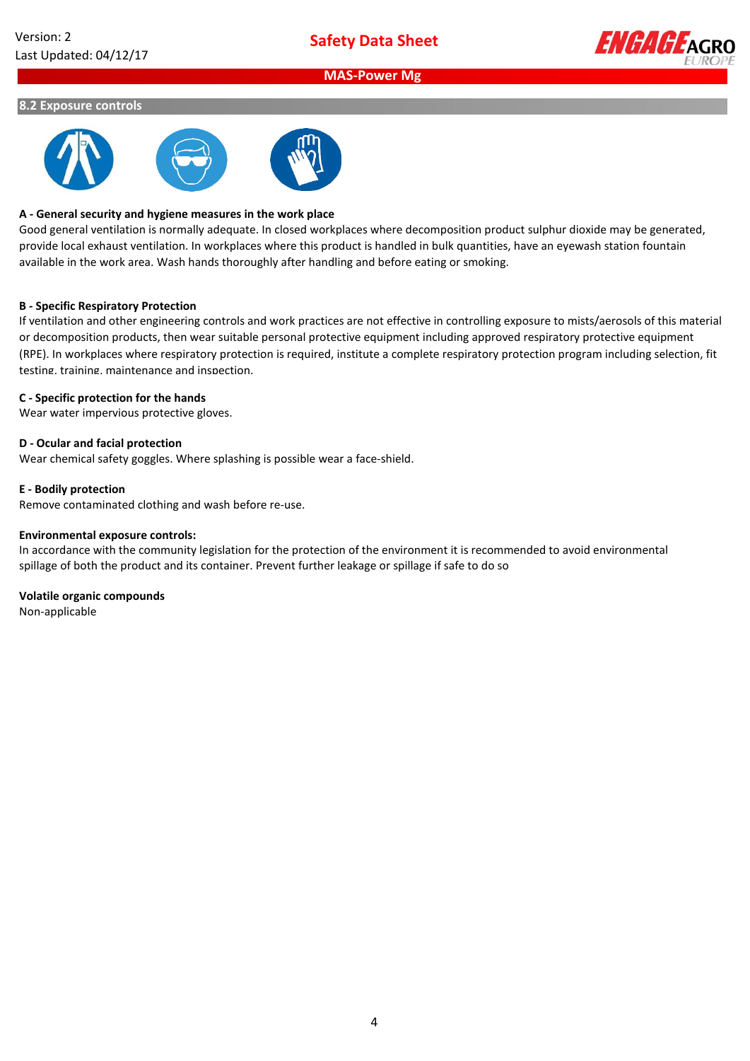

#### **8.2 Exposure controls**



#### **A - General security and hygiene measures in the work place**

Good general ventilation is normally adequate. In closed workplaces where decomposition product sulphur dioxide may be generated, provide local exhaust ventilation. In workplaces where this product is handled in bulk quantities, have an eyewash station fountain available in the work area. Wash hands thoroughly after handling and before eating or smoking.

#### **B - Specific Respiratory Protection**

If ventilation and other engineering controls and work practices are not effective in controlling exposure to mists/aerosols of this material or decomposition products, then wear suitable personal protective equipment including approved respiratory protective equipment (RPE). In workplaces where respiratory protection is required, institute a complete respiratory protection program including selection, fit testing, training, maintenance and inspection.

#### **C - Specific protection for the hands**

Wear water impervious protective gloves.

#### **D - Ocular and facial protection**

Wear chemical safety goggles. Where splashing is possible wear a face-shield.

#### **E - Bodily protection**

Remove contaminated clothing and wash before re-use.

#### **Environmental exposure controls:**

In accordance with the community legislation for the protection of the environment it is recommended to avoid environmental spillage of both the product and its container. Prevent further leakage or spillage if safe to do so

#### **Volatile organic compounds**

Non-applicable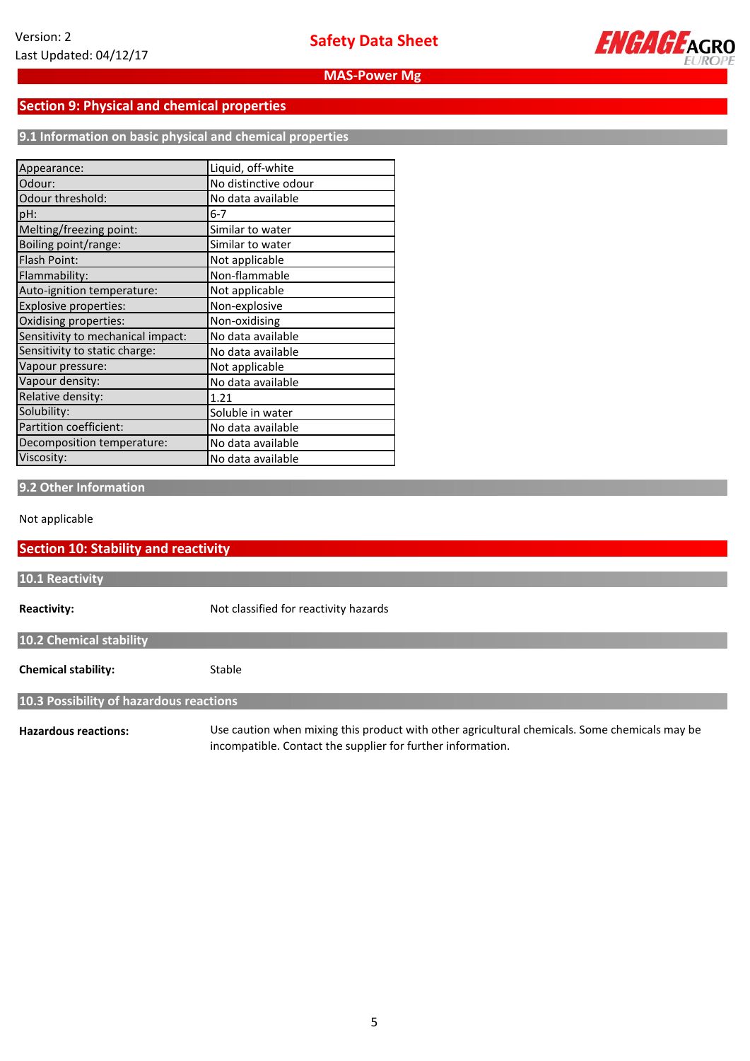

# **Section 9: Physical and chemical properties**

**9.1 Information on basic physical and chemical properties**

| Appearance:                       | Liquid, off-white    |
|-----------------------------------|----------------------|
| Odour:                            | No distinctive odour |
| Odour threshold:                  | No data available    |
| pH:                               | $6 - 7$              |
| Melting/freezing point:           | Similar to water     |
| Boiling point/range:              | Similar to water     |
| Flash Point:                      | Not applicable       |
| Flammability:                     | Non-flammable        |
| Auto-ignition temperature:        | Not applicable       |
| <b>Explosive properties:</b>      | Non-explosive        |
| Oxidising properties:             | Non-oxidising        |
| Sensitivity to mechanical impact: | No data available    |
| Sensitivity to static charge:     | No data available    |
| Vapour pressure:                  | Not applicable       |
| Vapour density:                   | No data available    |
| Relative density:                 | 1.21                 |
| Solubility:                       | Soluble in water     |
| Partition coefficient:            | No data available    |
| Decomposition temperature:        | No data available    |
| Viscosity:                        | No data available    |

**9.2 Other Information**

Not applicable

# **Reactivity: Chemical stability: 10.2 Chemical stability 10.1 Reactivity 10.3 Possibility of hazardous reactions** Not classified for reactivity hazards Stable **Section 10: Stability and reactivity**

**Hazardous reactions:**

Use caution when mixing this product with other agricultural chemicals. Some chemicals may be incompatible. Contact the supplier for further information.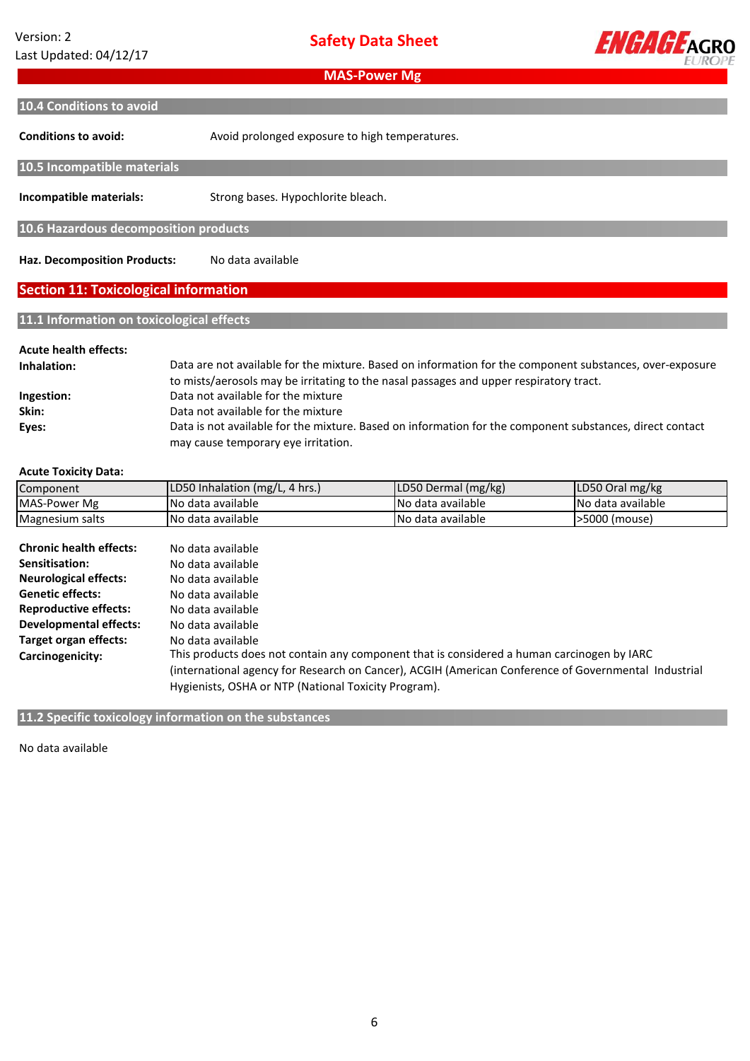**Safety Data Sheet**



**Conditions to avoid: Incompatible materials: Haz. Decomposition Products: Acute health effects: Inhalation: Ingestion: Skin: MAS-Power Mg Section 11: Toxicological information** Avoid prolonged exposure to high temperatures. Data are not available for the mixture. Based on information for the component substances, over-exposure to mists/aerosols may be irritating to the nasal passages and upper respiratory tract. Strong bases. Hypochlorite bleach. No data available **10.4 Conditions to avoid** Data not available for the mixture **11.1 Information on toxicological effects 10.6 Hazardous decomposition products 10.5 Incompatible materials** Data not available for the mixture

**Acute Toxicity Data:**

**Eyes:**

| Component                      | LD50 Inhalation (mg/L, 4 hrs.)                                                                                                                               | LD50 Dermal (mg/kg) | LD50 Oral mg/kg   |  |  |
|--------------------------------|--------------------------------------------------------------------------------------------------------------------------------------------------------------|---------------------|-------------------|--|--|
| MAS-Power Mg                   | No data available                                                                                                                                            | No data available   | No data available |  |  |
| Magnesium salts                | No data available                                                                                                                                            | No data available   | >5000 (mouse)     |  |  |
| <b>Chronic health effects:</b> | No data available                                                                                                                                            |                     |                   |  |  |
| Sensitisation:                 | No data available                                                                                                                                            |                     |                   |  |  |
| <b>Neurological effects:</b>   | No data available                                                                                                                                            |                     |                   |  |  |
| <b>Genetic effects:</b>        | No data available                                                                                                                                            |                     |                   |  |  |
| <b>Reproductive effects:</b>   | No data available                                                                                                                                            |                     |                   |  |  |
| Developmental effects:         | No data available                                                                                                                                            |                     |                   |  |  |
| Target organ effects:          | No data available                                                                                                                                            |                     |                   |  |  |
| Carcinogenicity:               | This products does not contain any component that is considered a human carcinogen by IARC                                                                   |                     |                   |  |  |
|                                | (international agency for Research on Cancer), ACGIH (American Conference of Governmental Industrial<br>Hygienists, OSHA or NTP (National Toxicity Program). |                     |                   |  |  |
|                                |                                                                                                                                                              |                     |                   |  |  |

may cause temporary eye irritation.

Data is not available for the mixture. Based on information for the component substances, direct contact

**11.2 Specific toxicology information on the substances**

No data available **available**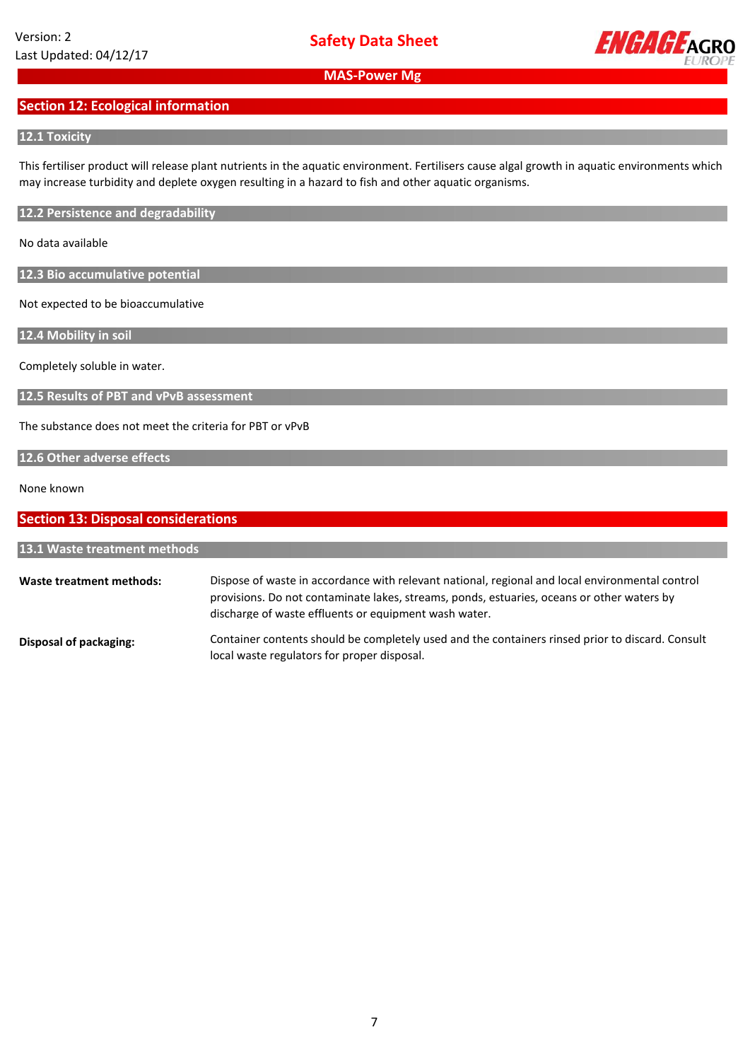

# **Section 12: Ecological information**

## **12.1 Toxicity**

This fertiliser product will release plant nutrients in the aquatic environment. Fertilisers cause algal growth in aquatic environments which may increase turbidity and deplete oxygen resulting in a hazard to fish and other aquatic organisms.

**12.2 Persistence and degradability**

No data available

**12.3 Bio accumulative potential**

Not expected to be bioaccumulative

**12.4 Mobility in soil**

Completely soluble in water.

**12.5 Results of PBT and vPvB assessment**

The substance does not meet the criteria for PBT or vPvB

## **12.6 Other adverse effects**

None known

| <b>Section 13: Disposal considerations</b><br>13.1 Waste treatment methods |                                                                                                  |
|----------------------------------------------------------------------------|--------------------------------------------------------------------------------------------------|
|                                                                            |                                                                                                  |
| Disposal of packaging:                                                     | Container contents should be completely used and the containers rinsed prior to discard. Consult |

local waste regulators for proper disposal.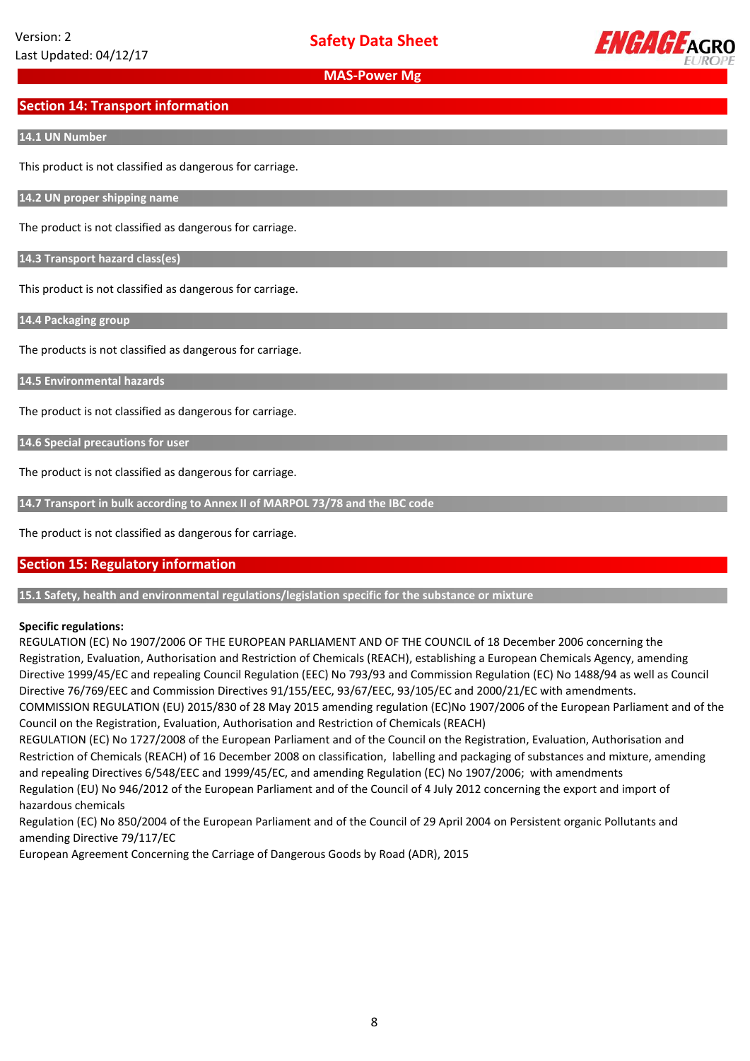

# **Section 14: Transport information**

#### **14.1 UN Number**

This product is not classified as dangerous for carriage.

**14.2 UN proper shipping name**

The product is not classified as dangerous for carriage.

**14.3 Transport hazard class(es)**

This product is not classified as dangerous for carriage.

**14.4 Packaging group**

The products is not classified as dangerous for carriage.

**14.5 Environmental hazards**

The product is not classified as dangerous for carriage.

**14.6 Special precautions for user**

The product is not classified as dangerous for carriage.

**14.7 Transport in bulk according to Annex II of MARPOL 73/78 and the IBC code**

The product is not classified as dangerous for carriage.

## **Section 15: Regulatory information**

**15.1 Safety, health and environmental regulations/legislation specific for the substance or mixture**

#### **Specific regulations:**

REGULATION (EC) No 1907/2006 OF THE EUROPEAN PARLIAMENT AND OF THE COUNCIL of 18 December 2006 concerning the Registration, Evaluation, Authorisation and Restriction of Chemicals (REACH), establishing a European Chemicals Agency, amending Directive 1999/45/EC and repealing Council Regulation (EEC) No 793/93 and Commission Regulation (EC) No 1488/94 as well as Council Directive 76/769/EEC and Commission Directives 91/155/EEC, 93/67/EEC, 93/105/EC and 2000/21/EC with amendments.

COMMISSION REGULATION (EU) 2015/830 of 28 May 2015 amending regulation (EC)No 1907/2006 of the European Parliament and of the Council on the Registration, Evaluation, Authorisation and Restriction of Chemicals (REACH)

REGULATION (EC) No 1727/2008 of the European Parliament and of the Council on the Registration, Evaluation, Authorisation and Restriction of Chemicals (REACH) of 16 December 2008 on classification, labelling and packaging of substances and mixture, amending and repealing Directives 6/548/EEC and 1999/45/EC, and amending Regulation (EC) No 1907/2006; with amendments Regulation (EU) No 946/2012 of the European Parliament and of the Council of 4 July 2012 concerning the export and import of hazardous chemicals

Regulation (EC) No 850/2004 of the European Parliament and of the Council of 29 April 2004 on Persistent organic Pollutants and amending Directive 79/117/EC

European Agreement Concerning the Carriage of Dangerous Goods by Road (ADR), 2015